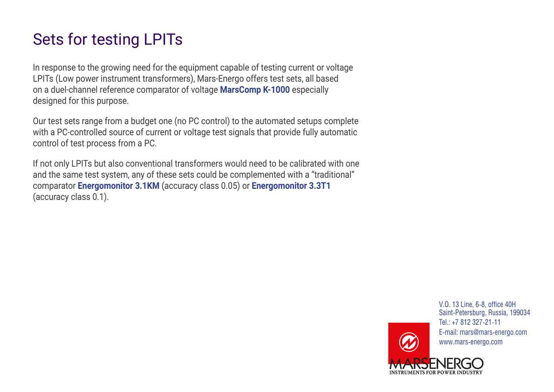# Sets for testing LPITs

In response to the growing need for the equipment capable of testing current or voltage LPITs (Low power instrument transformers), Mars-Energo offers test sets, all based on a duel-channel reference comparator of voltage **[MarsComp K-1000](https://www.mars-energo.com/products/instrument-transformer-test-sets/marscomp-k-1000/)** especially designed for this purpose.

Our test sets range from a budget one (no PC control) to the automated setups complete with a PC-controlled source of current or voltage test signals that provide fully automatic control of test process from a PC.

If not only LPITs but also conventional transformers would need to be calibrated with one and the same test system, any of these sets could be complemented with a "traditional" comparator **[Energomonitor 3.1KM](https://www.mars-energo.com/products/instrument-transformer-test-sets/energomonitor-3.1km.html)** (accuracy class 0.05) or **[Energomonitor 3.3T1](https://www.mars-energo.com/products/instrument-transformer-test-sets/energomonitor-3.3t1-c.html)** (accuracy class 0.1).

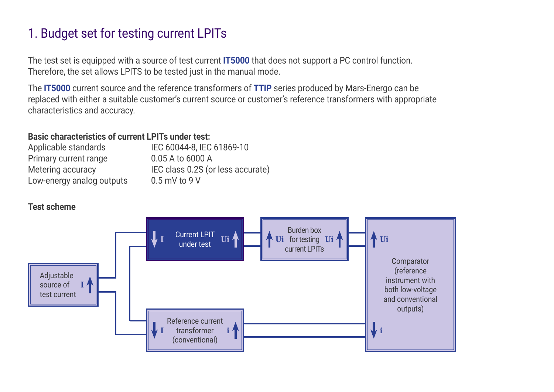## 1. Budget set for testing current LPITs

The test set is equipped with a source of test current **[IT5000](https://www.mars-energo.com/products/instrument-transformer-test-sets/it5000.html)** that does not support a PC control function. Therefore, the set allows LPITS to be tested just in the manual mode.

The **[IT5000](https://www.mars-energo.com/products/instrument-transformer-test-sets/it5000.html)** current source and the reference transformers of **[TTIP](https://www.mars-energo.com/products/instrument-transformer-test-sets/ttip.html)** series produced by Mars-Energo can be replaced with either a suitable customer's current source or customer's reference transformers with appropriate characteristics and accuracy.

### **Basic characteristics of current LPITs under test:**

| Applicable standards      | IEC 60044-8, IEC 61869-10         |
|---------------------------|-----------------------------------|
| Primary current range     | 0.05 A to 6000 A                  |
| Metering accuracy         | IEC class 0.2S (or less accurate) |
| Low-energy analog outputs | $0.5$ mV to 9 V                   |

### **Test scheme**

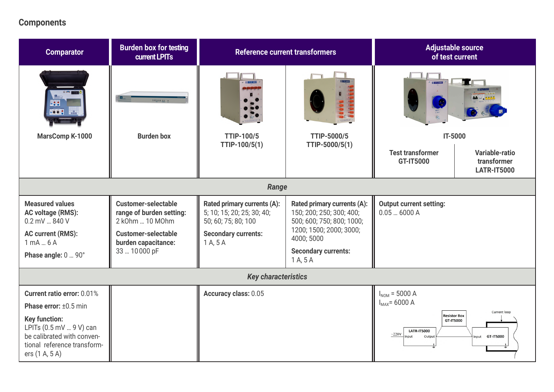### **Components**

| <b>Comparator</b>                                                                                                                                                                            | <b>Burden box for testing</b><br>current LPITs                                                                                                 | <b>Reference current transformers</b>                                                                                      |                                                                                                                                                                         | <b>Adjustable source</b><br>of test current                                                                                         |                                                     |  |
|----------------------------------------------------------------------------------------------------------------------------------------------------------------------------------------------|------------------------------------------------------------------------------------------------------------------------------------------------|----------------------------------------------------------------------------------------------------------------------------|-------------------------------------------------------------------------------------------------------------------------------------------------------------------------|-------------------------------------------------------------------------------------------------------------------------------------|-----------------------------------------------------|--|
| $\bullet \bullet$                                                                                                                                                                            | <b>BEELLE 4.</b>                                                                                                                               |                                                                                                                            |                                                                                                                                                                         | <b>CONTROL</b>                                                                                                                      |                                                     |  |
| <b>MarsComp K-1000</b>                                                                                                                                                                       | <b>Burden box</b>                                                                                                                              | <b>TTIP-100/5</b>                                                                                                          | <b>TTIP-5000/5</b>                                                                                                                                                      | <b>IT-5000</b>                                                                                                                      |                                                     |  |
|                                                                                                                                                                                              |                                                                                                                                                | TTIP-100/5(1)                                                                                                              | TTIP-5000/5(1)                                                                                                                                                          | <b>Test transformer</b><br><b>GT-IT5000</b>                                                                                         | Variable-ratio<br>transformer<br><b>LATR-IT5000</b> |  |
| Range                                                                                                                                                                                        |                                                                                                                                                |                                                                                                                            |                                                                                                                                                                         |                                                                                                                                     |                                                     |  |
| <b>Measured values</b><br><b>AC voltage (RMS):</b><br>0.2 mV  840 V<br><b>AC current (RMS):</b><br>1 mA  6 A<br>Phase angle: 0  90°                                                          | <b>Customer-selectable</b><br>range of burden setting:<br>2 k0hm  10 M0hm<br><b>Customer-selectable</b><br>burden capacitance:<br>33  10000 pF | Rated primary currents (A):<br>5; 10; 15; 20; 25; 30; 40;<br>50; 60; 75; 80; 100<br><b>Secondary currents:</b><br>1 A, 5 A | Rated primary currents (A):<br>150; 200; 250; 300; 400;<br>500; 600; 750; 800; 1000;<br>1200; 1500; 2000; 3000;<br>4000; 5000<br><b>Secondary currents:</b><br>1 A, 5 A | <b>Output current setting:</b><br>0.056000A                                                                                         |                                                     |  |
| <b>Key characteristics</b>                                                                                                                                                                   |                                                                                                                                                |                                                                                                                            |                                                                                                                                                                         |                                                                                                                                     |                                                     |  |
| <b>Current ratio error: 0.01%</b><br>Phase error: ±0.5 min<br><b>Key function:</b><br>LPITs (0.5 mV  9 V) can<br>be calibrated with conven-<br>tional reference transform-<br>ers (1 A, 5 A) |                                                                                                                                                | Accuracy class: 0.05                                                                                                       |                                                                                                                                                                         | $I_{NOM} = 5000 A$<br>$I_{MAX}$ = 6000 A<br><b>Resistor Box</b><br>GT-IT5000<br><b>LATR-IT5000</b><br>$\mathord{\sim}220$<br>Output | Current loop<br>GT-IT5000                           |  |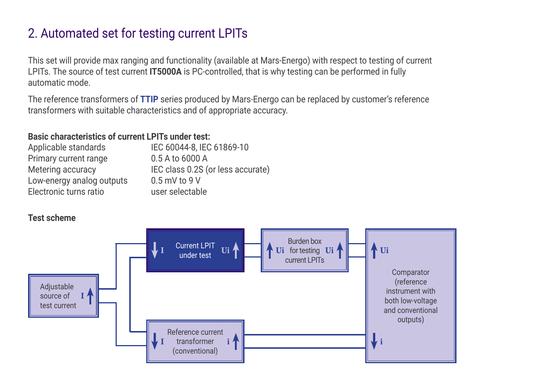## 2. Automated set for testing current LPITs

This set will provide max ranging and functionality (available at Mars-Energo) with respect to testing of current LPITs. The source of test current **IT5000A** is PC-controlled, that is why testing can be performed in fully automatic mode.

The reference transformers of **[TTIP](https://www.mars-energo.com/products/instrument-transformer-test-sets/ttip.html)** series produced by Mars-Energo can be replaced by customer's reference transformers with suitable characteristics and of appropriate accuracy.

### **Basic characteristics of current LPITs under test:**

| Applicable standards      | IEC 60044-8, IEC 61869-10         |
|---------------------------|-----------------------------------|
| Primary current range     | 0.5 A to 6000 A                   |
| Metering accuracy         | IEC class 0.2S (or less accurate) |
| Low-energy analog outputs | $0.5$ mV to 9 V                   |
| Electronic turns ratio    | user selectable                   |

### **Test scheme**

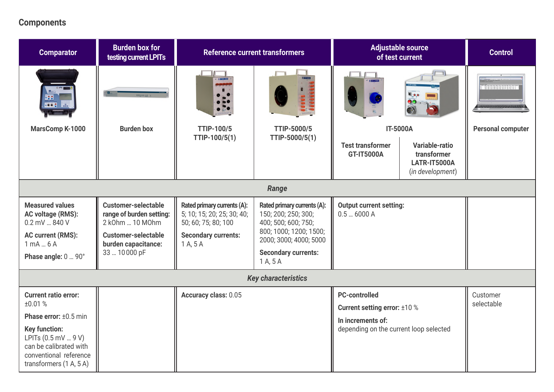### **Components**

| <b>Comparator</b>                                                                                                                                                                            | <b>Burden box for</b><br>testing current LPITs                                                                                                 | <b>Reference current transformers</b>                                                                                      |                                                                                                                                                                         | <b>Adjustable source</b><br>of test current                                                                                |                                                                          | <b>Control</b>           |
|----------------------------------------------------------------------------------------------------------------------------------------------------------------------------------------------|------------------------------------------------------------------------------------------------------------------------------------------------|----------------------------------------------------------------------------------------------------------------------------|-------------------------------------------------------------------------------------------------------------------------------------------------------------------------|----------------------------------------------------------------------------------------------------------------------------|--------------------------------------------------------------------------|--------------------------|
| $-002$                                                                                                                                                                                       |                                                                                                                                                |                                                                                                                            |                                                                                                                                                                         | <b>B</b> GT-TEXAS                                                                                                          | 005                                                                      | <b>Beneranssen</b>       |
| MarsComp K-1000                                                                                                                                                                              | <b>Burden box</b>                                                                                                                              | <b>TTIP-100/5</b><br>TTIP-100/5(1)                                                                                         | TTIP-5000/5<br>TTIP-5000/5(1)                                                                                                                                           |                                                                                                                            | <b>IT-5000A</b>                                                          | <b>Personal computer</b> |
|                                                                                                                                                                                              |                                                                                                                                                |                                                                                                                            |                                                                                                                                                                         | <b>Test transformer</b><br><b>GT-IT5000A</b>                                                                               | Variable-ratio<br>transformer<br><b>LATR-IT5000A</b><br>(in development) |                          |
|                                                                                                                                                                                              |                                                                                                                                                |                                                                                                                            | Range                                                                                                                                                                   |                                                                                                                            |                                                                          |                          |
| <b>Measured values</b><br>AC voltage (RMS):<br>0.2 mV  840 V<br><b>AC current (RMS):</b><br>1 mA  6 A<br>Phase angle: 0  90°                                                                 | <b>Customer-selectable</b><br>range of burden setting:<br>2 k0hm  10 M0hm<br><b>Customer-selectable</b><br>burden capacitance:<br>33  10000 pF | Rated primary currents (A):<br>5; 10; 15; 20; 25; 30; 40;<br>50; 60; 75; 80; 100<br><b>Secondary currents:</b><br>1 A, 5 A | Rated primary currents (A):<br>150; 200; 250; 300;<br>400; 500; 600; 750;<br>800; 1000; 1200; 1500;<br>2000; 3000; 4000; 5000<br><b>Secondary currents:</b><br>1 A, 5 A | <b>Output current setting:</b><br>0.56000A                                                                                 |                                                                          |                          |
| <b>Key characteristics</b>                                                                                                                                                                   |                                                                                                                                                |                                                                                                                            |                                                                                                                                                                         |                                                                                                                            |                                                                          |                          |
| <b>Current ratio error:</b><br>±0.01%<br>Phase error: ±0.5 min<br><b>Key function:</b><br>LPITs (0.5 mV  9 V)<br>can be calibrated with<br>conventional reference<br>transformers (1 A, 5 A) |                                                                                                                                                | <b>Accuracy class: 0.05</b>                                                                                                |                                                                                                                                                                         | <b>PC-controlled</b><br><b>Current setting error: ±10 %</b><br>In increments of:<br>depending on the current loop selected |                                                                          | Customer<br>selectable   |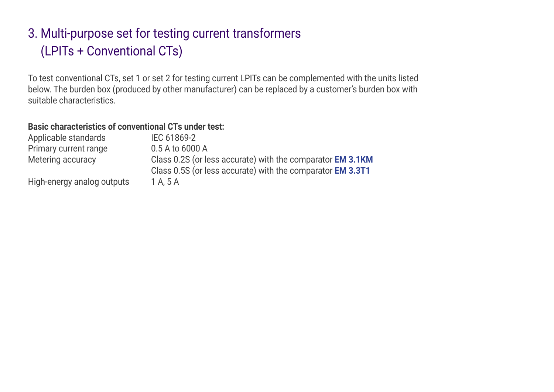## 3. Multi-purpose set for testing current transformers (LPITs + Conventional CTs)

To test conventional CTs, set 1 or set 2 for testing current LPITs can be complemented with the units listed below. The burden box (produced by other manufacturer) can be replaced by a customer's burden box with suitable characteristics.

#### **Basic characteristics of conventional CTs under test:**

| Applicable standards       | IEC 61869-2                                                       |
|----------------------------|-------------------------------------------------------------------|
| Primary current range      | 0.5 A to 6000 A                                                   |
| Metering accuracy          | Class 0.2S (or less accurate) with the comparator <b>EM 3.1KM</b> |
|                            | Class 0.5S (or less accurate) with the comparator <b>EM 3.3T1</b> |
| High-energy analog outputs | 1 A. 5 A                                                          |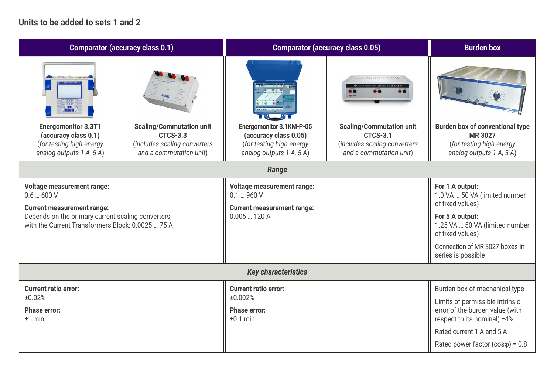#### **Units to be added to sets 1 and 2**

| <b>Comparator (accuracy class 0.1)</b>                                                                                                       |                                                                                                               | <b>Comparator (accuracy class 0.05)</b>                                                                   | <b>Burden box</b>                                                                                             |                                                                                                                  |  |  |
|----------------------------------------------------------------------------------------------------------------------------------------------|---------------------------------------------------------------------------------------------------------------|-----------------------------------------------------------------------------------------------------------|---------------------------------------------------------------------------------------------------------------|------------------------------------------------------------------------------------------------------------------|--|--|
|                                                                                                                                              |                                                                                                               |                                                                                                           | ///////////////////////                                                                                       |                                                                                                                  |  |  |
| <b>Energomonitor 3.3T1</b><br>(accuracy class 0.1)<br>(for testing high-energy<br>analog outputs 1 A, 5 A)                                   | <b>Scaling/Commutation unit</b><br><b>CTCS-3.3</b><br>(includes scaling converters<br>and a commutation unit) | Energomonitor 3.1KM-P-05<br>(accuracy class 0.05)<br>(for testing high-energy<br>analog outputs 1 A, 5 A) | <b>Scaling/Commutation unit</b><br><b>CTCS-3.1</b><br>(includes scaling converters<br>and a commutation unit) | <b>Burden box of conventional type</b><br><b>MR 3027</b><br>(for testing high-energy<br>analog outputs 1 A, 5 A) |  |  |
|                                                                                                                                              | Range                                                                                                         |                                                                                                           |                                                                                                               |                                                                                                                  |  |  |
| <b>Voltage measurement range:</b><br>0.6  600 V                                                                                              |                                                                                                               | <b>Voltage measurement range:</b><br>$0.1 - 960V$<br><b>Current measurement range:</b>                    |                                                                                                               | For 1 A output:<br>1.0 VA  50 VA (limited number<br>of fixed values)                                             |  |  |
| <b>Current measurement range:</b><br>Depends on the primary current scaling converters,<br>with the Current Transformers Block: 0.0025  75 A |                                                                                                               | 0.005120A                                                                                                 |                                                                                                               | For 5 A output:<br>1.25 VA  50 VA (limited number<br>of fixed values)                                            |  |  |
|                                                                                                                                              |                                                                                                               |                                                                                                           |                                                                                                               | Connection of MR 3027 boxes in<br>series is possible                                                             |  |  |
| <b>Key characteristics</b>                                                                                                                   |                                                                                                               |                                                                                                           |                                                                                                               |                                                                                                                  |  |  |
| <b>Current ratio error:</b>                                                                                                                  |                                                                                                               | <b>Current ratio error:</b><br>±0.002%                                                                    |                                                                                                               | Burden box of mechanical type                                                                                    |  |  |
| ±0.02%<br><b>Phase error:</b><br>$±1$ min                                                                                                    |                                                                                                               | <b>Phase error:</b><br>$±0.1$ min                                                                         |                                                                                                               | Limits of permissible intrinsic<br>error of the burden value (with<br>respect to its nominal) ±4%                |  |  |
|                                                                                                                                              |                                                                                                               |                                                                                                           |                                                                                                               | Rated current 1 A and 5 A                                                                                        |  |  |
|                                                                                                                                              |                                                                                                               |                                                                                                           |                                                                                                               | Rated power factor $(cos \varphi) = 0.8$                                                                         |  |  |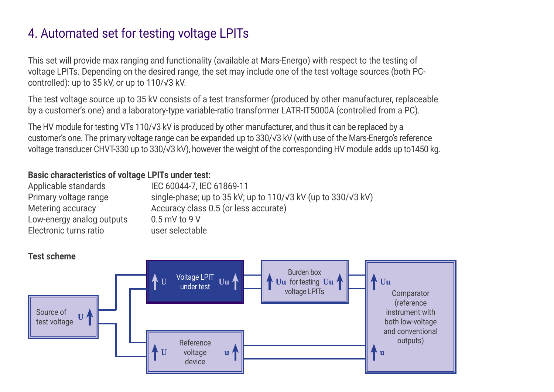## 4. Automated set for testing voltage LPITs

This set will provide max ranging and functionality (available at Mars-Energo) with respect to the testing of voltage LPITs. Depending on the desired range, the set may include one of the test voltage sources (both PCcontrolled): up to 35 kV, or up to 110/√3 kV.

The test voltage source up to 35 kV consists of a test transformer (produced by other manufacturer, replaceable by a customer's one) and a laboratory-type variable-ratio transformer LATR-IT5000A (controlled from a PC).

The HV module for testing VTs 110/√3 kV is produced by other manufacturer, and thus it can be replaced by a customer's one. The primary voltage range can be expanded up to 330/√3 kV (with use of the Mars-Energo's reference voltage transducer CHVT-330 up to 330/√3 kV), however the weight of the corresponding HV module adds up to1450 kg.

### **Basic characteristics of voltage LPITs under test:**

| Applicable standards      | IEC 60044-7, IEC 61869-11                                                      |
|---------------------------|--------------------------------------------------------------------------------|
| Primary voltage range     | single-phase; up to $35$ kV; up to $110/\sqrt{3}$ kV (up to $330/\sqrt{3}$ kV) |
| Metering accuracy         | Accuracy class 0.5 (or less accurate)                                          |
| Low-energy analog outputs | $0.5$ mV to 9 V                                                                |
| Electronic turns ratio    | user selectable                                                                |

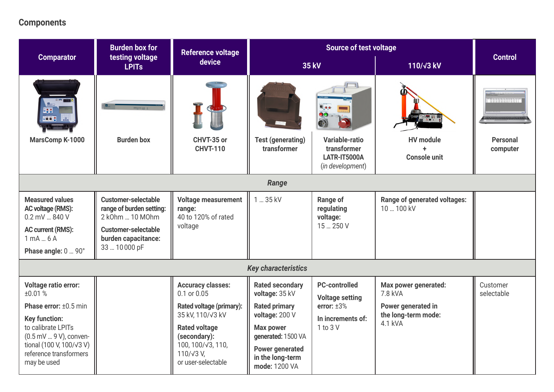### **Components**

|                                                                                                                                                                                                             | <b>Burden box for</b>                                                                                                                          | <b>Reference voltage</b>                                                                                                                                                                                         | <b>Source of test voltage</b><br>device<br><b>35 kV</b>                                                                                                                                     |                                                                                                                |                                                                                         |                             |
|-------------------------------------------------------------------------------------------------------------------------------------------------------------------------------------------------------------|------------------------------------------------------------------------------------------------------------------------------------------------|------------------------------------------------------------------------------------------------------------------------------------------------------------------------------------------------------------------|---------------------------------------------------------------------------------------------------------------------------------------------------------------------------------------------|----------------------------------------------------------------------------------------------------------------|-----------------------------------------------------------------------------------------|-----------------------------|
| <b>Comparator</b>                                                                                                                                                                                           | testing voltage<br><b>LPITs</b>                                                                                                                |                                                                                                                                                                                                                  |                                                                                                                                                                                             |                                                                                                                | 110/ <sub>V3</sub> kV                                                                   | <b>Control</b>              |
| <b></b><br>$-005$<br><b>MarsComp K-1000</b>                                                                                                                                                                 | <b>Burden box</b>                                                                                                                              | CHVT-35 or<br><b>CHVT-110</b>                                                                                                                                                                                    | <b>Test (generating)</b><br>transformer                                                                                                                                                     | $\bullet$ .<br>00574m<br>O)<br><b>Variable-ratio</b><br>transformer<br><b>LATR-IT5000A</b><br>(in development) | <b>HV</b> module<br><b>Console unit</b>                                                 | <b>Personal</b><br>computer |
|                                                                                                                                                                                                             | Range                                                                                                                                          |                                                                                                                                                                                                                  |                                                                                                                                                                                             |                                                                                                                |                                                                                         |                             |
| <b>Measured values</b><br>AC voltage (RMS):<br>0.2 mV  840 V<br><b>AC current (RMS):</b><br>$1$ mA $6$ A<br>Phase angle: 0  90°                                                                             | <b>Customer-selectable</b><br>range of burden setting:<br>2 k0hm  10 M0hm<br><b>Customer-selectable</b><br>burden capacitance:<br>33  10000 pF | <b>Voltage measurement</b><br>range:<br>40 to 120% of rated<br>voltage                                                                                                                                           | 1  35 kV                                                                                                                                                                                    | Range of<br>regulating<br>voltage:<br>15  250 V                                                                | Range of generated voltages:<br>10  100 kV                                              |                             |
|                                                                                                                                                                                                             |                                                                                                                                                |                                                                                                                                                                                                                  | <b>Key characteristics</b>                                                                                                                                                                  |                                                                                                                |                                                                                         |                             |
| <b>Voltage ratio error:</b><br>±0.01%<br>Phase error: ±0.5 min<br><b>Key function:</b><br>to calibrate LPITs<br>(0.5 mV  9 V), conven-<br>tional (100 V, 100/√3 V)<br>reference transformers<br>may be used |                                                                                                                                                | <b>Accuracy classes:</b><br>0.1 or 0.05<br><b>Rated voltage (primary):</b><br>35 kV, 110/√3 kV<br><b>Rated voltage</b><br>(secondary):<br>100, 100/ $\sqrt{3}$ , 110,<br>$110/\sqrt{3}$ V,<br>or user-selectable | <b>Rated secondary</b><br>voltage: 35 kV<br><b>Rated primary</b><br>voltage: 200 V<br><b>Max power</b><br>generated: 1500 VA<br><b>Power generated</b><br>in the long-term<br>mode: 1200 VA | <b>PC-controlled</b><br><b>Voltage setting</b><br>error: $±3%$<br>In increments of:<br>1 to 3 V                | Max power generated:<br>7.8 kVA<br>Power generated in<br>the long-term mode:<br>4.1 kVA | Customer<br>selectable      |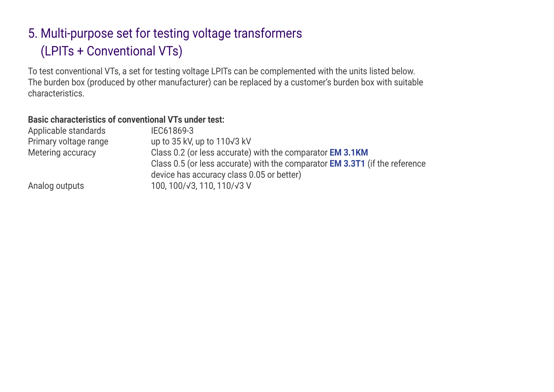## 5. Multi-purpose set for testing voltage transformers (LPITs + Conventional VTs)

To test conventional VTs, a set for testing voltage LPITs can be complemented with the units listed below. The burden box (produced by other manufacturer) can be replaced by a customer's burden box with suitable characteristics.

#### **Basic characteristics of conventional VTs under test:**

| Applicable standards  | IEC61869-3                                                                         |
|-----------------------|------------------------------------------------------------------------------------|
| Primary voltage range | up to $35$ kV, up to $110\sqrt{3}$ kV                                              |
| Metering accuracy     | Class 0.2 (or less accurate) with the comparator EM 3.1KM                          |
|                       | Class 0.5 (or less accurate) with the comparator <b>EM 3.3T1</b> (if the reference |
|                       | device has accuracy class 0.05 or better)                                          |
| Analog outputs        | 100, 100/√3, 110, 110/√3 V                                                         |